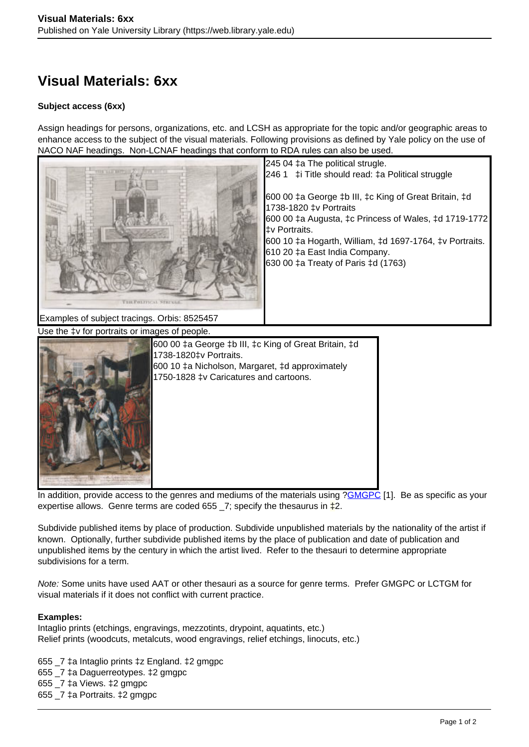## **Visual Materials: 6xx**

## **Subject access (6xx)**

Assign headings for persons, organizations, etc. and LCSH as appropriate for the topic and/or geographic areas to enhance access to the subject of the visual materials. Following provisions as defined by Yale policy on the use of NACO NAF headings. Non-LCNAF headings that conform to RDA rules can also be used.



In addition, provide access to the genres and mediums of the materials using ?**GMGPC** [1]. Be as specific as your expertise allows. Genre terms are coded 655  $\overline{\phantom{0}}$  = 7; specify the thesaurus in  $\overline{\phantom{0}}$  = 2.

Subdivide published items by place of production. Subdivide unpublished materials by the nationality of the artist if known. Optionally, further subdivide published items by the place of publication and date of publication and unpublished items by the century in which the artist lived. Refer to the thesauri to determine appropriate subdivisions for a term.

Note: Some units have used AAT or other thesauri as a source for genre terms. Prefer GMGPC or LCTGM for visual materials if it does not conflict with current practice.

## **Examples:**

Intaglio prints (etchings, engravings, mezzotints, drypoint, aquatints, etc.) Relief prints (woodcuts, metalcuts, wood engravings, relief etchings, linocuts, etc.)

655 \_7 ‡a Intaglio prints ‡z England. ‡2 gmgpc 655 \_7 ‡a Daguerreotypes. ‡2 gmgpc 655  $7 \text{ }\sharp$ a Views.  $\sharp$ 2 gmgpc 655 \_7 ‡a Portraits. ‡2 gmgpc